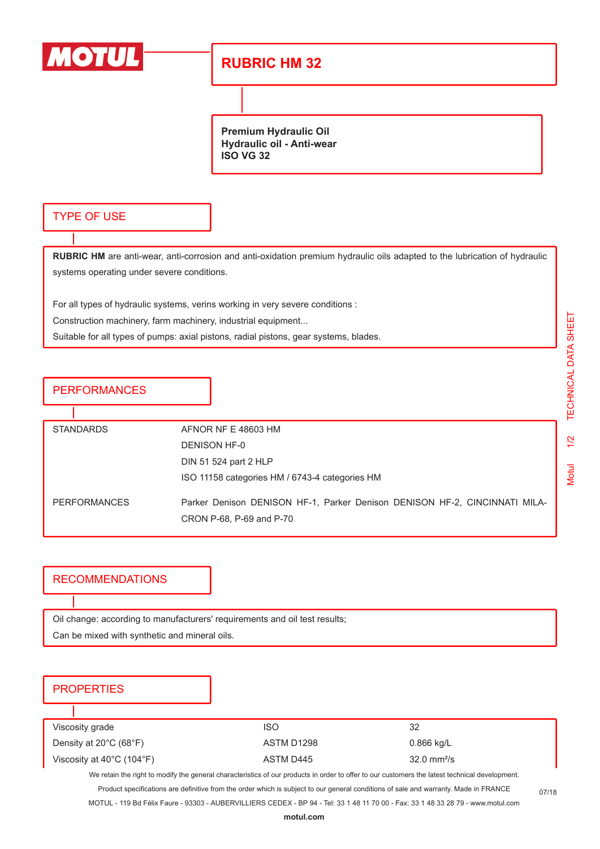

## **RUBRIC HM 32**

**Premium Hydraulic Oil Hydraulic oil - Anti-wear ISO VG 32**

#### TYPE OF USE

**RUBRIC HM** are anti-wear, anti-corrosion and anti-oxidation premium hydraulic oils adapted to the lubrication of hydraulic systems operating under severe conditions.

For all types of hydraulic systems, verins working in very severe conditions :

Construction machinery, farm machinery, industrial equipment...

Suitable for all types of pumps: axial pistons, radial pistons, gear systems, blades.

**PERFORMANCES** 

| <b>STANDARDS</b>    | AFNOR NF E 48603 HM                                                                                    |
|---------------------|--------------------------------------------------------------------------------------------------------|
|                     | DENISON HF-0                                                                                           |
|                     | DIN 51 524 part 2 HLP                                                                                  |
|                     | ISO 11158 categories HM / 6743-4 categories HM                                                         |
| <b>PERFORMANCES</b> | Parker Denison DENISON HF-1, Parker Denison DENISON HF-2, CINCINNATI MILA-<br>CRON P-68, P-69 and P-70 |

#### RECOMMENDATIONS

Oil change: according to manufacturers' requirements and oil test results; Can be mixed with synthetic and mineral oils.

### **PROPERTIES**

| Viscosity grade                                | ISO        | 32                           |
|------------------------------------------------|------------|------------------------------|
| Density at $20^{\circ}$ C (68 $^{\circ}$ F)    | ASTM D1298 | 0.866 kg/L                   |
| Viscosity at $40^{\circ}$ C (104 $^{\circ}$ F) | ASTM D445  | $32.0 \text{ mm}^2/\text{s}$ |

We retain the right to modify the general characteristics of our products in order to offer to our customers the latest technical development.

Product specifications are definitive from the order which is subject to our general conditions of sale and warranty. Made in FRANCE

MOTUL - 119 Bd Félix Faure - 93303 - AUBERVILLIERS CEDEX - BP 94 - Tel: 33 1 48 11 70 00 - Fax: 33 1 48 33 28 79 - www.motul.com